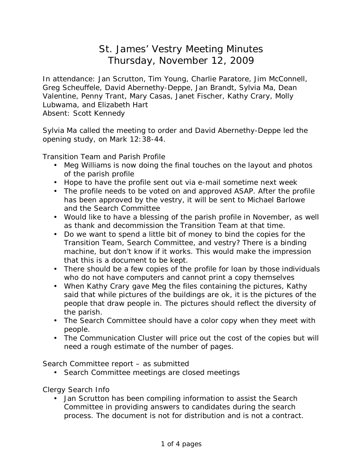## St. James' Vestry Meeting Minutes Thursday, November 12, 2009

In attendance: Jan Scrutton, Tim Young, Charlie Paratore, Jim McConnell, Greg Scheuffele, David Abernethy-Deppe, Jan Brandt, Sylvia Ma, Dean Valentine, Penny Trant, Mary Casas, Janet Fischer, Kathy Crary, Molly Lubwama, and Elizabeth Hart Absent: Scott Kennedy

Sylvia Ma called the meeting to order and David Abernethy-Deppe led the opening study, on Mark 12:38-44.

Transition Team and Parish Profile

- Meg Williams is now doing the final touches on the layout and photos of the parish profile
- Hope to have the profile sent out via e-mail sometime next week
- The profile needs to be voted on and approved ASAP. After the profile has been approved by the vestry, it will be sent to Michael Barlowe and the Search Committee
- Would like to have a blessing of the parish profile in November, as well as thank and decommission the Transition Team at that time.
- Do we want to spend a little bit of money to bind the copies for the Transition Team, Search Committee, and vestry? There is a binding machine, but don't know if it works. This would make the impression that this is a document to be kept.
- There should be a few copies of the profile for loan by those individuals who do not have computers and cannot print a copy themselves
- When Kathy Crary gave Meg the files containing the pictures, Kathy said that while pictures of the buildings are ok, it is the pictures of the people that draw people in. The pictures should reflect the diversity of the parish.
- The Search Committee should have a color copy when they meet with people.
- The Communication Cluster will price out the cost of the copies but will need a rough estimate of the number of pages.

Search Committee report – as submitted

• Search Committee meetings are closed meetings

Clergy Search Info

• Jan Scrutton has been compiling information to assist the Search Committee in providing answers to candidates during the search process. The document is not for distribution and is not a contract.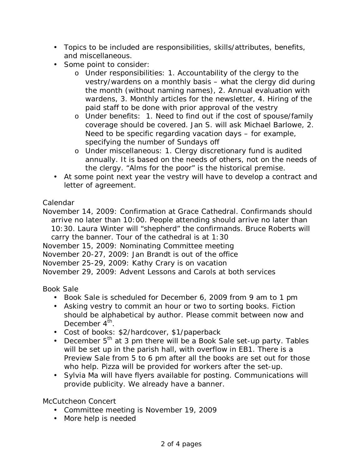- Topics to be included are responsibilities, skills/attributes, benefits, and miscellaneous.
- Some point to consider:
	- o Under responsibilities: 1. Accountability of the clergy to the vestry/wardens on a monthly basis – what the clergy did during the month (without naming names), 2. Annual evaluation with wardens, 3. Monthly articles for the newsletter, 4. Hiring of the paid staff to be done with prior approval of the vestry
	- o Under benefits: 1. Need to find out if the cost of spouse/family coverage should be covered. Jan S. will ask Michael Barlowe, 2. Need to be specific regarding vacation days – for example, specifying the number of Sundays off
	- o Under miscellaneous: 1. Clergy discretionary fund is audited annually. It is based on the needs of others, not on the needs of the clergy. "Alms for the poor" is the historical premise.
- At some point next year the vestry will have to develop a contract and letter of agreement.

## Calendar

November 14, 2009: Confirmation at Grace Cathedral. Confirmands should arrive no later than 10:00. People attending should arrive no later than 10:30. Laura Winter will "shepherd" the confirmands. Bruce Roberts will carry the banner. Tour of the cathedral is at 1:30 November 15, 2009: Nominating Committee meeting November 20-27, 2009: Jan Brandt is out of the office November 25-29, 2009: Kathy Crary is on vacation November 29, 2009: Advent Lessons and Carols at both services

## Book Sale

- Book Sale is scheduled for December 6, 2009 from 9 am to 1 pm
- Asking vestry to commit an hour or two to sorting books. Fiction should be alphabetical by author. Please commit between now and December  $4^{\text{th}}$ .
- Cost of books: \$2/hardcover, \$1/paperback
- December  $5<sup>th</sup>$  at 3 pm there will be a Book Sale set-up party. Tables will be set up in the parish hall, with overflow in EB1. There is a Preview Sale from 5 to 6 pm after all the books are set out for those who help. Pizza will be provided for workers after the set-up.
- Sylvia Ma will have flyers available for posting. Communications will provide publicity. We already have a banner.

McCutcheon Concert

- Committee meeting is November 19, 2009
- More help is needed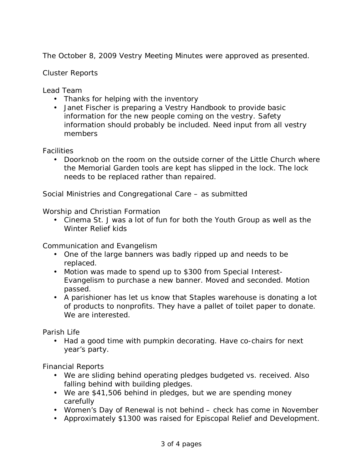The October 8, 2009 Vestry Meeting Minutes were approved as presented.

Cluster Reports

Lead Team

- Thanks for helping with the inventory
- Janet Fischer is preparing a Vestry Handbook to provide basic information for the new people coming on the vestry. Safety information should probably be included. Need input from all vestry members

**Facilities** 

• Doorknob on the room on the outside corner of the Little Church where the Memorial Garden tools are kept has slipped in the lock. The lock needs to be replaced rather than repaired.

Social Ministries and Congregational Care – as submitted

Worship and Christian Formation

• Cinema St. J was a lot of fun for both the Youth Group as well as the Winter Relief kids

Communication and Evangelism

- One of the large banners was badly ripped up and needs to be replaced.
- Motion was made to spend up to \$300 from Special Interest-Evangelism to purchase a new banner. Moved and seconded. Motion passed.
- A parishioner has let us know that Staples warehouse is donating a lot of products to nonprofits. They have a pallet of toilet paper to donate. We are interested.

Parish Life

• Had a good time with pumpkin decorating. Have co-chairs for next year's party.

Financial Reports

- We are sliding behind operating pledges budgeted vs. received. Also falling behind with building pledges.
- We are \$41,506 behind in pledges, but we are spending money carefully
- Women's Day of Renewal is not behind check has come in November
- Approximately \$1300 was raised for Episcopal Relief and Development.